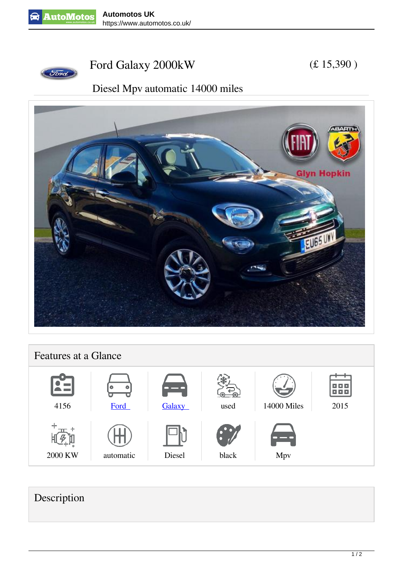



### **Ford Galaxy 2000kW**

```
 (£ 15,390 )
```
### **Diesel Mpv automatic 14000 miles**



## **Features at a Glance** 888 **4156** [Ford](https://www.automotos.co.uk/cars/list/used-cars/ford) Galaxy **used 14000 Miles 2015**

# **Description**

**2000 KW automatic Diesel black Mpv**